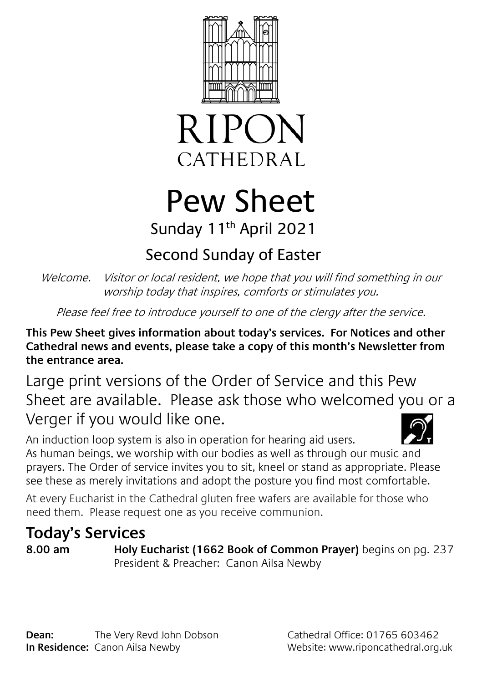



# Pew Sheet Sunday 11th April 2021

## Second Sunday of Easter

Welcome. Visitor or local resident, we hope that you will find something in our worship today that inspires, comforts or stimulates you.

Please feel free to introduce yourself to one of the clergy after the service.

**This Pew Sheet gives information about today's services. For Notices and other Cathedral news and events, please take a copy of this month's Newsletter from the entrance area.** 

Large print versions of the Order of Service and this Pew Sheet are available. Please ask those who welcomed you or a Verger if you would like one.

An induction loop system is also in operation for hearing aid users. As human beings, we worship with our bodies as well as through our music and prayers. The Order of service invites you to sit, kneel or stand as appropriate. Please see these as merely invitations and adopt the posture you find most comfortable.

At every Eucharist in the Cathedral gluten free wafers are available for those who need them. Please request one as you receive communion.

### **Today's Services**

**8.00 am Holy Eucharist (1662 Book of Common Prayer)** begins on pg. 237 President & Preacher: Canon Ailsa Newby